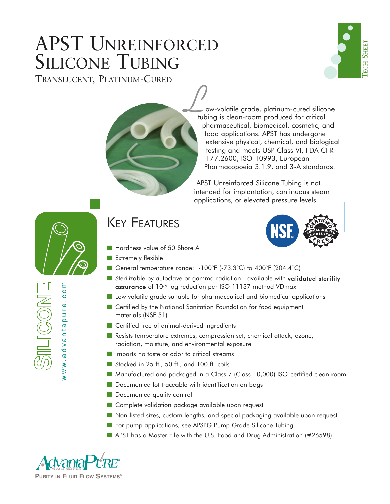# APST UNREINFORCED SILICONE TUBING

TRANSLUCENT, PLATINUM-CURED





ow-volatile grade, platinum-cured silicone tubing is clean-room produced for critical pharmaceutical, biomedical, cosmetic, and food applications. APST has undergone extensive physical, chemical, and biological testing and meets USP Class VI, FDA CFR 177.2600, ISO 10993, European Pharmacopoeia 3.1.9, and 3-A standards.

APST Unreinforced Silicone Tubing is not intended for implantation, continuous steam applications, or elevated pressure levels.

## **KEY FEATURES**

- Hardness value of 50 Shore A
- Extremely flexible
- General temperature range: -100°F (-73.3°C) to 400°F (204.4°C)
- Sterilizable by autoclave or gamma radiation—available with validated sterility assurance of 10-6 log reduction per ISO 11137 method VDmax
- Low volatile grade suitable for pharmaceutical and biomedical applications
- Certified by the National Sanitation Foundation for food equipment materials (NSF-51)
- Certified free of animal-derived ingredients
- Resists temperature extremes, compression set, chemical attack, ozone, radiation, moisture, and environmental exposure
- Imparts no taste or odor to critical streams
- Stocked in 25 ft., 50 ft., and 100 ft. coils
- Manufactured and packaged in a Class 7 (Class 10,000) ISO-certified clean room
- Documented lot traceable with identification on bags
- Documented quality control
- Complete validation package available upon request
- Non-listed sizes, custom lengths, and special packaging available upon request
- For pump applications, see APSPG Pump Grade Silicone Tubing
- APST has a Master File with the U.S. Food and Drug Administration (#26598)



www.advantapure.com

ww.advantapure.com

IKONE

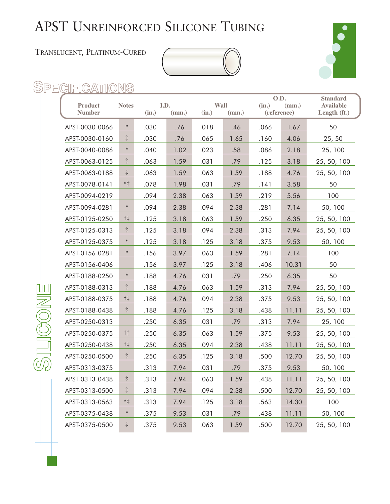# APST UNREINFORCED SILICONE TUBING

TRANSLUCENT, PLATINUM-CURED





### SPECIFICATIONS

SILICONE

| <b>Product</b><br><b>Number</b> | <b>Notes</b>         | I.D.<br>(in.)<br>(mm.) |      | <b>Wall</b><br>(in.)<br>(mm.) |      | O.D.<br>(in.)<br>(mm.)<br>(reference) |       | <b>Standard</b><br><b>Available</b><br>Length (ft.) |
|---------------------------------|----------------------|------------------------|------|-------------------------------|------|---------------------------------------|-------|-----------------------------------------------------|
| APST-0030-0066                  | $\ast$               | .030                   | .76  | .018                          | .46  | .066                                  | 1.67  | 50                                                  |
| APST-0030-0160                  | $\ddagger$           | .030                   | .76  | .065                          | 1.65 | .160                                  | 4.06  | 25, 50                                              |
| APST-0040-0086                  | $\ast$               | .040                   | 1.02 | .023                          | .58  | .086                                  | 2.18  | 25, 100                                             |
| APST-0063-0125                  | $\ddagger$           | .063                   | 1.59 | .031                          | .79  | .125                                  | 3.18  | 25, 50, 100                                         |
| APST-0063-0188                  | $\ddagger$           | .063                   | 1.59 | .063                          | 1.59 | .188                                  | 4.76  | 25, 50, 100                                         |
| APST-0078-0141                  | $\ast\ddagger$       | .078                   | 1.98 | .031                          | .79  | .141                                  | 3.58  | 50                                                  |
| APST-0094-0219                  |                      | .094                   | 2.38 | .063                          | 1.59 | .219                                  | 5.56  | 100                                                 |
| APST-0094-0281                  | $\ast$               | .094                   | 2.38 | .094                          | 2.38 | .281                                  | 7.14  | 50, 100                                             |
| APST-0125-0250                  | †‡                   | .125                   | 3.18 | .063                          | 1.59 | .250                                  | 6.35  | 25, 50, 100                                         |
| APST-0125-0313                  | $\ddagger$           | .125                   | 3.18 | .094                          | 2.38 | .313                                  | 7.94  | 25, 50, 100                                         |
| APST-0125-0375                  | $\ast$               | .125                   | 3.18 | .125                          | 3.18 | .375                                  | 9.53  | 50, 100                                             |
| APST-0156-0281                  | $\ast$               | .156                   | 3.97 | .063                          | 1.59 | .281                                  | 7.14  | 100                                                 |
| APST-0156-0406                  |                      | .156                   | 3.97 | .125                          | 3.18 | .406                                  | 10.31 | 50                                                  |
| APST-0188-0250                  | $\ast$               | .188                   | 4.76 | .031                          | .79  | .250                                  | 6.35  | 50                                                  |
| APST-0188-0313                  | $\ddagger$           | .188                   | 4.76 | .063                          | 1.59 | .313                                  | 7.94  | 25, 50, 100                                         |
| APST-0188-0375                  | t‡                   | .188                   | 4.76 | .094                          | 2.38 | .375                                  | 9.53  | 25, 50, 100                                         |
| APST-0188-0438                  | $\ddagger$           | .188                   | 4.76 | .125                          | 3.18 | .438                                  | 11.11 | 25, 50, 100                                         |
| APST-0250-0313                  |                      | .250                   | 6.35 | .031                          | .79  | .313                                  | 7.94  | 25, 100                                             |
| APST-0250-0375                  | $\dagger\ddagger$    | .250                   | 6.35 | .063                          | 1.59 | .375                                  | 9.53  | 25, 50, 100                                         |
| APST-0250-0438                  | $^{\dagger\ddagger}$ | .250                   | 6.35 | .094                          | 2.38 | .438                                  | 11.11 | 25, 50, 100                                         |
| APST-0250-0500                  | $\ddagger$           | .250                   | 6.35 | .125                          | 3.18 | .500                                  | 12.70 | 25, 50, 100                                         |
| APST-0313-0375                  |                      | .313                   | 7.94 | .031                          | .79  | .375                                  | 9.53  | 50, 100                                             |
| APST-0313-0438                  | $\ddagger$           | <u>.313</u>            | 7.94 | .063                          | 1.59 | .438                                  | 11.11 | 25, 50, 100                                         |
| APST-0313-0500                  | $\ddagger$           | .313                   | 7.94 | .094                          | 2.38 | .500                                  | 12.70 | 25, 50, 100                                         |
| APST-0313-0563                  | $\ast\ddagger$       | .313                   | 7.94 | .125                          | 3.18 | .563                                  | 14.30 | 100                                                 |
| APST-0375-0438                  | $\ast$               | .375                   | 9.53 | .031                          | .79  | .438                                  | 11.11 | 50, 100                                             |
| APST-0375-0500                  | $\ddagger$           | .375                   | 9.53 | .063                          | 1.59 | .500                                  | 12.70 | 25, 50, 100                                         |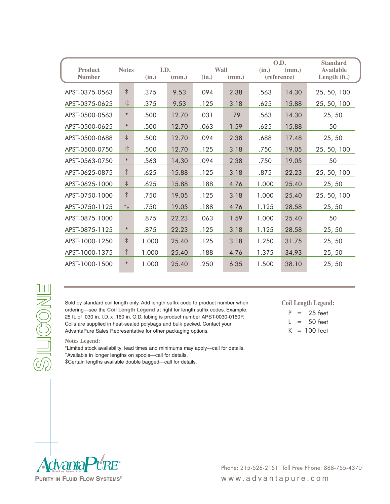| <b>Product</b><br><b>Number</b> | <b>Notes</b> | LD.<br>(in.) | Wall<br>(mm.)<br>(in.) |      | (mm.) | O.D.<br>(in.)<br>(reference) | (mm.) | <b>Standard</b><br><b>Available</b><br>Length (ft.) |
|---------------------------------|--------------|--------------|------------------------|------|-------|------------------------------|-------|-----------------------------------------------------|
| APST-0375-0563                  | $\ddagger$   | .375         | 9.53                   | .094 | 2.38  | .563                         | 14.30 | 25, 50, 100                                         |
| APST-0375-0625                  | t‡           | .375         | 9.53                   | .125 | 3.18  | .625                         | 15.88 | 25, 50, 100                                         |
| APST-0500-0563                  | $\ast$       | .500         | 12.70                  | .031 | .79   | .563                         | 14.30 | 25, 50                                              |
| APST-0500-0625                  | $\ast$       | .500         | 12.70                  | .063 | 1.59  | .625                         | 15.88 | 50                                                  |
| APST-0500-0688                  | $\ddagger$   | .500         | 12.70                  | .094 | 2.38  | .688                         | 17.48 | 25, 50                                              |
| APST-0500-0750                  | t‡           | .500         | 12.70                  | .125 | 3.18  | .750                         | 19.05 | 25, 50, 100                                         |
| APST-0563-0750                  | $\ast$       | .563         | 14.30                  | .094 | 2.38  | .750                         | 19.05 | 50                                                  |
| APST-0625-0875                  | $\ddagger$   | .625         | 15.88                  | .125 | 3.18  | .875                         | 22.23 | 25, 50, 100                                         |
| APST-0625-1000                  | $\ddagger$   | .625         | 15.88                  | .188 | 4.76  | 1.000                        | 25.40 | 25, 50                                              |
| APST-0750-1000                  | $\ddagger$   | .750         | 19.05                  | .125 | 3.18  | 1.000                        | 25.40 | 25, 50, 100                                         |
| APST-0750-1125                  | $\ast\ddag$  | .750         | 19.05                  | .188 | 4.76  | 1.125                        | 28.58 | 25, 50                                              |
| APST-0875-1000                  |              | .875         | 22.23                  | .063 | 1.59  | 1.000                        | 25.40 | 50                                                  |
| APST-0875-1125                  | $\ast$       | .875         | 22.23                  | .125 | 3.18  | 1.125                        | 28.58 | 25, 50                                              |
| APST-1000-1250                  | $\ddagger$   | 1.000        | 25.40                  | .125 | 3.18  | 1.250                        | 31.75 | 25, 50                                              |
| APST-1000-1375                  | $\ddagger$   | 1.000        | 25.40                  | .188 | 4.76  | 1.375                        | 34.93 | 25, 50                                              |
| APST-1000-1500                  | $\ast$       | 1.000        | 25.40                  | .250 | 6.35  | 1.500                        | 38.10 | 25,50                                               |

Sold by standard coil length only. Add length suffix code to product number when ordering—see the **Coil Length Legend** at right for length suffix codes. Example: 25 ft. of .030 in. I.D. x .160 in. O.D. tubing is product number APST-0030-0160P. Coils are supplied in heat-sealed polybags and bulk packed. Contact your AdvantaPure Sales Representative for other packaging options.

#### **Notes Legend:**

\*Limited stock availability; lead times and minimums may apply—call for details. †Available in longer lengths on spools—call for details. ‡Certain lengths available double bagged—call for details.

#### **Coil Length Legend:**

 $P = 25$  feet

- $L = 50$  feet
- $K = 100$  feet